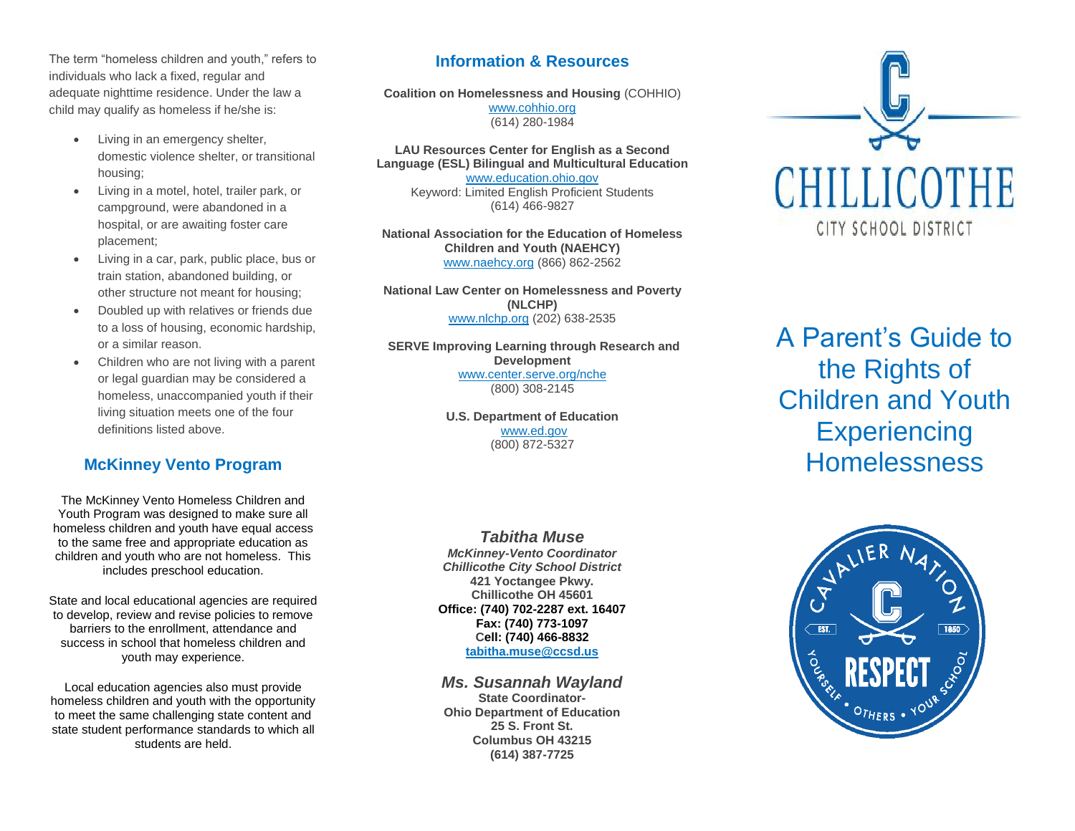The term "homeless children and youth," refers to individuals who lack a fixed, regular and adequate nighttime residence. Under the law a child may qualify as homeless if he/she is:

- Living in an emergency shelter, domestic violence shelter, or transitional housing;
- Living in a motel, hotel, trailer park, or campground, were abandoned in a hospital, or are awaiting foster care placement;
- Living in a car, park, public place, bus or train station, abandoned building, or other structure not meant for housing;
- Doubled up with relatives or friends due to a loss of housing, economic hardship, or a similar reason.
- Children who are not living with a parent or legal guardian may be considered a homeless, unaccompanied youth if their living situation meets one of the four definitions listed above.

## **McKinney Vento Program**

The McKinney Vento Homeless Children and Youth Program was designed to make sure all homeless children and youth have equal access to the same free and appropriate education as children and youth who are not homeless. This includes preschool education.

State and local educational agencies are required to develop, review and revise policies to remove barriers to the enrollment, attendance and success in school that homeless children and youth may experience.

Local education agencies also must provide homeless children and youth with the opportunity to meet the same challenging state content and state student performance standards to which all students are held.

#### **Information & Resources**

**Coalition on Homelessness and Housing** (COHHIO) [www.cohhio.org](http://www.cohhio.org/) (614) 280-1984

**LAU Resources Center for English as a Second Language (ESL) Bilingual and Multicultural Education** www.education.ohio.gov Keyword: Limited English Proficient Students (614) 466-9827

**National Association for the Education of Homeless Children and Youth (NAEHCY)** [www.naehcy.org](http://www.naehcy.org/) (866) 862-2562

**National Law Center on Homelessness and Poverty (NLCHP)** [www.nlchp.org](http://www.nlchp.org/) (202) 638-2535

**SERVE Improving Learning through Research and Development** [www.center.serve.org/nche](http://www.center.serve.org/nche) (800) 308-2145

> **U.S. Department of Education** [www.ed.gov](http://www.ed.gov/) (800) 872-5327

*Tabitha Muse McKinney-Vento Coordinator Chillicothe City School District* **421 Yoctangee Pkwy. Chillicothe OH 45601 Office: (740) 702-2287 ext. 16407 Fax: (740) 773-1097 Cell: (740) 466-8832 [tabitha.muse@ccsd.us](mailto:tabitha.muse@ccsd.us)**

*Ms. Susannah Wayland* **State Coordinator-Ohio Department of Education 25 S. Front St. Columbus OH 43215 (614) 387-7725**



A Parent's Guide to the Rights of Children and Youth **Experiencing Homelessness**